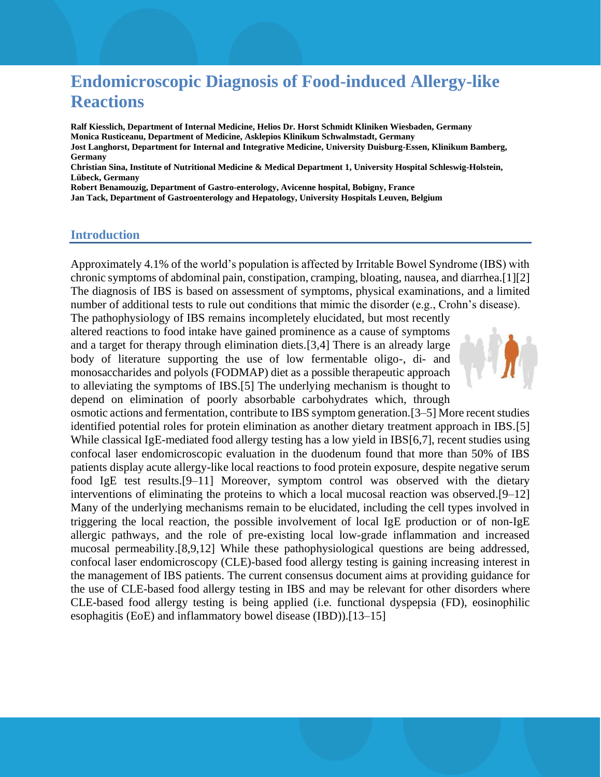# **Endomicroscopic Diagnosis of Food-induced Allergy-like Reactions**

**Ralf Kiesslich, Department of Internal Medicine, Helios Dr. Horst Schmidt Kliniken Wiesbaden, Germany Monica Rusticeanu, Department of Medicine, Asklepios Klinikum Schwalmstadt, Germany Jost Langhorst, Department for Internal and Integrative Medicine, University Duisburg-Essen, Klinikum Bamberg, Germany Christian Sina, Institute of Nutritional Medicine & Medical Department 1, University Hospital Schleswig-Holstein,** 

**Lübeck, Germany**

**Robert Benamouzig, Department of Gastro-enterology, Avicenne hospital, Bobigny, France Jan Tack, Department of Gastroenterology and Hepatology, University Hospitals Leuven, Belgium**

#### **Introduction**

Approximately 4.1% of the world's population is affected by Irritable Bowel Syndrome (IBS) with chronic symptoms of abdominal pain, constipation, cramping, bloating, nausea, and diarrhea.[1][2] The diagnosis of IBS is based on assessment of symptoms, physical examinations, and a limited number of additional tests to rule out conditions that mimic the disorder (e.g., Crohn's disease).

The pathophysiology of IBS remains incompletely elucidated, but most recently altered reactions to food intake have gained prominence as a cause of symptoms and a target for therapy through elimination diets.[3,4] There is an already large body of literature supporting the use of low fermentable oligo-, di- and monosaccharides and polyols (FODMAP) diet as a possible therapeutic approach to alleviating the symptoms of IBS.[5] The underlying mechanism is thought to depend on elimination of poorly absorbable carbohydrates which, through



osmotic actions and fermentation, contribute to IBS symptom generation.[3–5] More recent studies identified potential roles for protein elimination as another dietary treatment approach in IBS.[5] While classical IgE-mediated food allergy testing has a low yield in IBS[6,7], recent studies using confocal laser endomicroscopic evaluation in the duodenum found that more than 50% of IBS patients display acute allergy-like local reactions to food protein exposure, despite negative serum food IgE test results.[9–11] Moreover, symptom control was observed with the dietary interventions of eliminating the proteins to which a local mucosal reaction was observed.[9–12] Many of the underlying mechanisms remain to be elucidated, including the cell types involved in triggering the local reaction, the possible involvement of local IgE production or of non-IgE allergic pathways, and the role of pre-existing local low-grade inflammation and increased mucosal permeability.[8,9,12] While these pathophysiological questions are being addressed, confocal laser endomicroscopy (CLE)-based food allergy testing is gaining increasing interest in the management of IBS patients. The current consensus document aims at providing guidance for the use of CLE-based food allergy testing in IBS and may be relevant for other disorders where CLE-based food allergy testing is being applied (i.e. functional dyspepsia (FD), eosinophilic esophagitis (EoE) and inflammatory bowel disease (IBD)).[13–15]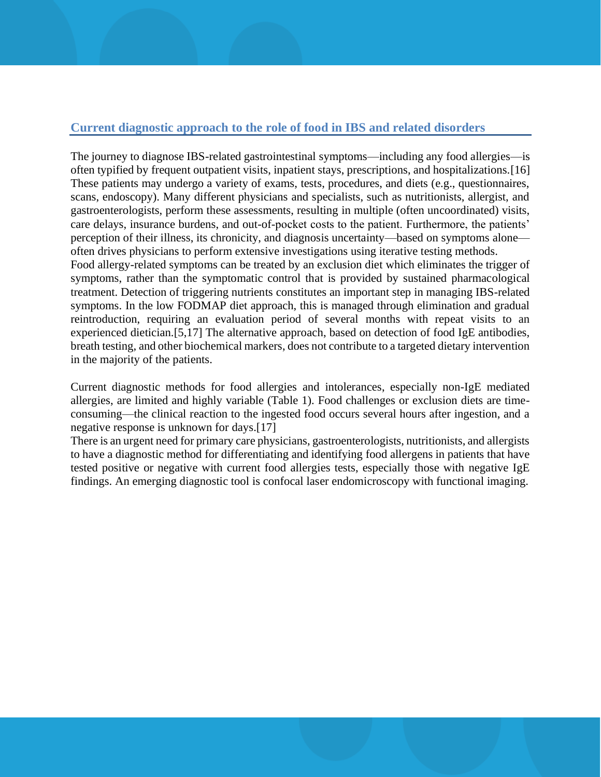## **Current diagnostic approach to the role of food in IBS and related disorders**

The journey to diagnose IBS-related gastrointestinal symptoms—including any food allergies—is often typified by frequent outpatient visits, inpatient stays, prescriptions, and hospitalizations.[16] These patients may undergo a variety of exams, tests, procedures, and diets (e.g., questionnaires, scans, endoscopy). Many different physicians and specialists, such as nutritionists, allergist, and gastroenterologists, perform these assessments, resulting in multiple (often uncoordinated) visits, care delays, insurance burdens, and out-of-pocket costs to the patient. Furthermore, the patients' perception of their illness, its chronicity, and diagnosis uncertainty—based on symptoms alone often drives physicians to perform extensive investigations using iterative testing methods.

Food allergy-related symptoms can be treated by an exclusion diet which eliminates the trigger of symptoms, rather than the symptomatic control that is provided by sustained pharmacological treatment. Detection of triggering nutrients constitutes an important step in managing IBS-related symptoms. In the low FODMAP diet approach, this is managed through elimination and gradual reintroduction, requiring an evaluation period of several months with repeat visits to an experienced dietician.[5,17] The alternative approach, based on detection of food IgE antibodies, breath testing, and other biochemical markers, does not contribute to a targeted dietary intervention in the majority of the patients.

Current diagnostic methods for food allergies and intolerances, especially non-IgE mediated allergies, are limited and highly variable (Table 1). Food challenges or exclusion diets are timeconsuming—the clinical reaction to the ingested food occurs several hours after ingestion, and a negative response is unknown for days.[17]

There is an urgent need for primary care physicians, gastroenterologists, nutritionists, and allergists to have a diagnostic method for differentiating and identifying food allergens in patients that have tested positive or negative with current food allergies tests, especially those with negative IgE findings. An emerging diagnostic tool is confocal laser endomicroscopy with functional imaging.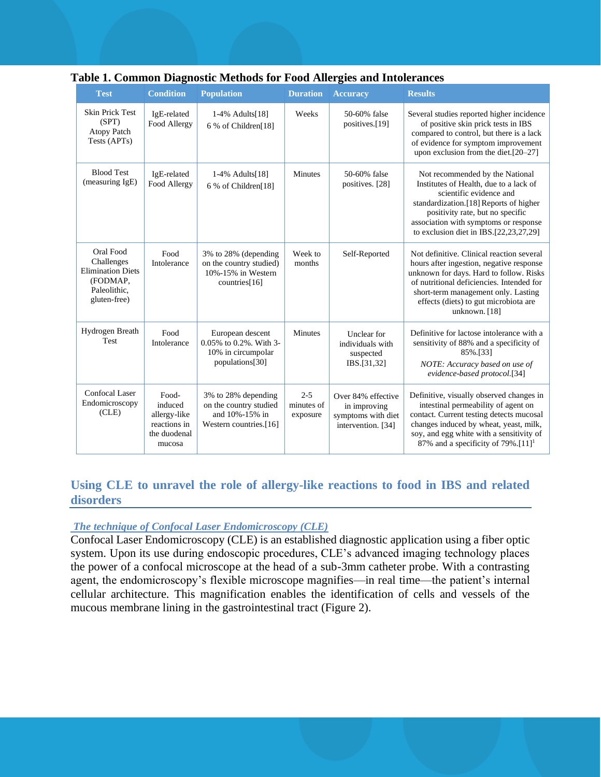| <b>Test</b>                                                                                     | <b>Condition</b>                                                           | <b>Population</b>                                                                         | <b>Duration</b>                   | <b>Accuracy</b>                                                                | <b>Results</b>                                                                                                                                                                                                                                                                 |
|-------------------------------------------------------------------------------------------------|----------------------------------------------------------------------------|-------------------------------------------------------------------------------------------|-----------------------------------|--------------------------------------------------------------------------------|--------------------------------------------------------------------------------------------------------------------------------------------------------------------------------------------------------------------------------------------------------------------------------|
| <b>Skin Prick Test</b><br>(SPT)<br><b>Atopy Patch</b><br>Tests (APTs)                           | IgE-related<br>Food Allergy                                                | 1-4% Adults[18]<br>6 % of Children[18]                                                    | Weeks                             | 50-60% false<br>positives.[19]                                                 | Several studies reported higher incidence<br>of positive skin prick tests in IBS<br>compared to control, but there is a lack<br>of evidence for symptom improvement<br>upon exclusion from the diet.[20-27]                                                                    |
| <b>Blood Test</b><br>(measuring IgE)                                                            | IgE-related<br>Food Allergy                                                | 1-4% Adults[18]<br>6 % of Children[18]                                                    | <b>Minutes</b>                    | 50-60% false<br>positives. [28]                                                | Not recommended by the National<br>Institutes of Health, due to a lack of<br>scientific evidence and<br>standardization.[18] Reports of higher<br>positivity rate, but no specific<br>association with symptoms or response<br>to exclusion diet in IBS. $[22, 23, 27, 29]$    |
| Oral Food<br>Challenges<br><b>Elimination Diets</b><br>(FODMAP,<br>Paleolithic,<br>gluten-free) | Food<br>Intolerance                                                        | 3% to 28% (depending<br>on the country studied)<br>10%-15% in Western<br>countries $[16]$ | Week to<br>months                 | Self-Reported                                                                  | Not definitive. Clinical reaction several<br>hours after ingestion, negative response<br>unknown for days. Hard to follow. Risks<br>of nutritional deficiencies. Intended for<br>short-term management only. Lasting<br>effects (diets) to gut microbiota are<br>unknown. [18] |
| Hydrogen Breath<br>Test                                                                         | Food<br>Intolerance                                                        | European descent<br>0.05% to 0.2%. With 3-<br>10% in circumpolar<br>populations[30]       | <b>Minutes</b>                    | Unclear for<br>individuals with<br>suspected<br>IBS.[31,32]                    | Definitive for lactose intolerance with a<br>sensitivity of 88% and a specificity of<br>85%.[33]<br>NOTE: Accuracy based on use of<br>evidence-based protocol.[34]                                                                                                             |
| <b>Confocal Laser</b><br>Endomicroscopy<br>(CLE)                                                | Food-<br>induced<br>allergy-like<br>reactions in<br>the duodenal<br>mucosa | 3% to 28% depending<br>on the country studied<br>and 10%-15% in<br>Western countries.[16] | $2 - 5$<br>minutes of<br>exposure | Over 84% effective<br>in improving<br>symptoms with diet<br>intervention. [34] | Definitive, visually observed changes in<br>intestinal permeability of agent on<br>contact. Current testing detects mucosal<br>changes induced by wheat, yeast, milk,<br>soy, and egg white with a sensitivity of<br>87% and a specificity of $79\%$ . [11] <sup>1</sup>       |

### **Table 1. Common Diagnostic Methods for Food Allergies and Intolerances**

## **Using CLE to unravel the role of allergy-like reactions to food in IBS and related disorders**

#### *The technique of Confocal Laser Endomicroscopy (CLE)*

Confocal Laser Endomicroscopy (CLE) is an established diagnostic application using a fiber optic system. Upon its use during endoscopic procedures, CLE's advanced imaging technology places the power of a confocal microscope at the head of a sub-3mm catheter probe. With a contrasting agent, the endomicroscopy's flexible microscope magnifies—in real time—the patient's internal cellular architecture. This magnification enables the identification of cells and vessels of the mucous membrane lining in the gastrointestinal tract (Figure 2).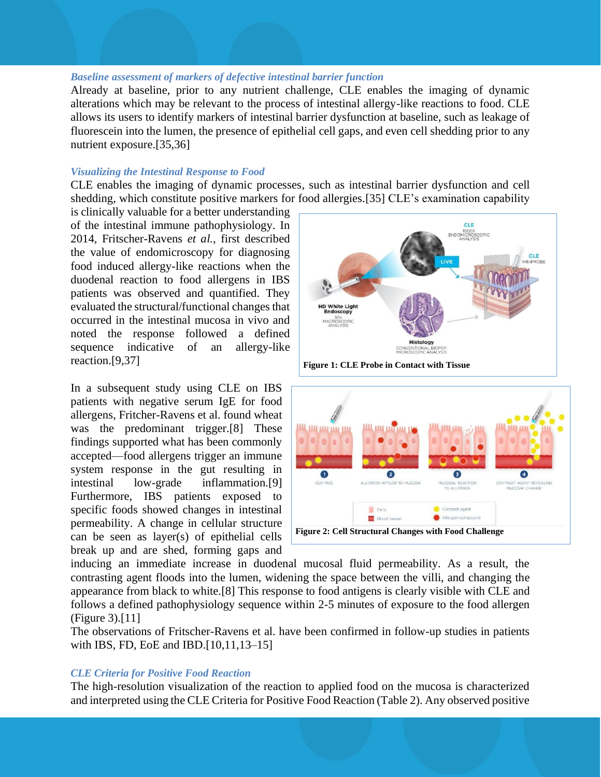#### *Baseline assessment of markers of defective intestinal barrier function*

Already at baseline, prior to any nutrient challenge, CLE enables the imaging of dynamic alterations which may be relevant to the process of intestinal allergy-like reactions to food. CLE allows its users to identify markers of intestinal barrier dysfunction at baseline, such as leakage of fluorescein into the lumen, the presence of epithelial cell gaps, and even cell shedding prior to any nutrient exposure.[35,36]

#### *Visualizing the Intestinal Response to Food*

CLE enables the imaging of dynamic processes, such as intestinal barrier dysfunction and cell shedding, which constitute positive markers for food allergies.[35] CLE's examination capability

is clinically valuable for a better understanding of the intestinal immune pathophysiology. In 2014, Fritscher-Ravens *et al.*, first described the value of endomicroscopy for diagnosing food induced allergy-like reactions when the duodenal reaction to food allergens in IBS patients was observed and quantified. They evaluated the structural/functional changes that occurred in the intestinal mucosa in vivo and noted the response followed a defined sequence indicative of an allergy-like reaction.[9,37]

In a subsequent study using CLE on IBS patients with negative serum IgE for food allergens, Fritcher-Ravens et al. found wheat was the predominant trigger.<sup>[8]</sup> These findings supported what has been commonly accepted—food allergens trigger an immune system response in the gut resulting in intestinal low-grade inflammation.[9] Furthermore, IBS patients exposed to specific foods showed changes in intestinal permeability. A change in cellular structure can be seen as layer(s) of epithelial cells break up and are shed, forming gaps and



**Figure 1: CLE Probe in Contact with Tissue**



inducing an immediate increase in duodenal mucosal fluid permeability. As a result, the contrasting agent floods into the lumen, widening the space between the villi, and changing the appearance from black to white.[8] This response to food antigens is clearly visible with CLE and follows a defined pathophysiology sequence within 2-5 minutes of exposure to the food allergen (Figure 3).[11]

The observations of Fritscher-Ravens et al. have been confirmed in follow-up studies in patients with IBS, FD, EoE and IBD.[10,11,13–15]

#### *CLE Criteria for Positive Food Reaction*

The high-resolution visualization of the reaction to applied food on the mucosa is characterized and interpreted using the CLE Criteria for Positive Food Reaction (Table 2). Any observed positive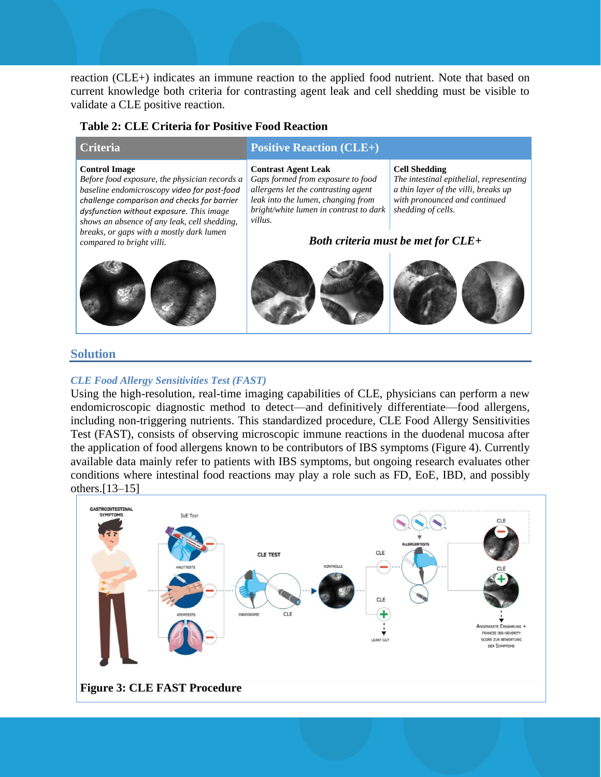reaction (CLE+) indicates an immune reaction to the applied food nutrient. Note that based on current knowledge both criteria for contrasting agent leak and cell shedding must be visible to validate a CLE positive reaction.

#### **Table 2: CLE Criteria for Positive Food Reaction**

#### **Positive Reaction (CLE+) Positive Reaction (CLE+) Control Image** *Before food exposure, the physician records a baseline endomicroscopy video for post-food challenge comparison and checks for barrier dysfunction without exposure. This image shows an absence of any leak, cell shedding, breaks, or gaps with a mostly dark lumen compared to bright villi.* **Contrast Agent Leak** *Gaps formed from exposure to food allergens let the contrasting agent leak into the lumen, changing from bright/white lumen in contrast to dark villus.*  **Cell Shedding** *The intestinal epithelial, representing a thin layer of the villi, breaks up with pronounced and continued shedding of cells.* **Solution** *Both criteria must be met for CLE+*

#### *CLE Food Allergy Sensitivities Test (FAST)*

Using the high-resolution, real-time imaging capabilities of CLE, physicians can perform a new endomicroscopic diagnostic method to detect—and definitively differentiate—food allergens, including non-triggering nutrients. This standardized procedure, CLE Food Allergy Sensitivities Test (FAST), consists of observing microscopic immune reactions in the duodenal mucosa after the application of food allergens known to be contributors of IBS symptoms (Figure 4). Currently available data mainly refer to patients with IBS symptoms, but ongoing research evaluates other conditions where intestinal food reactions may play a role such as FD, EoE, IBD, and possibly others.[13–15]

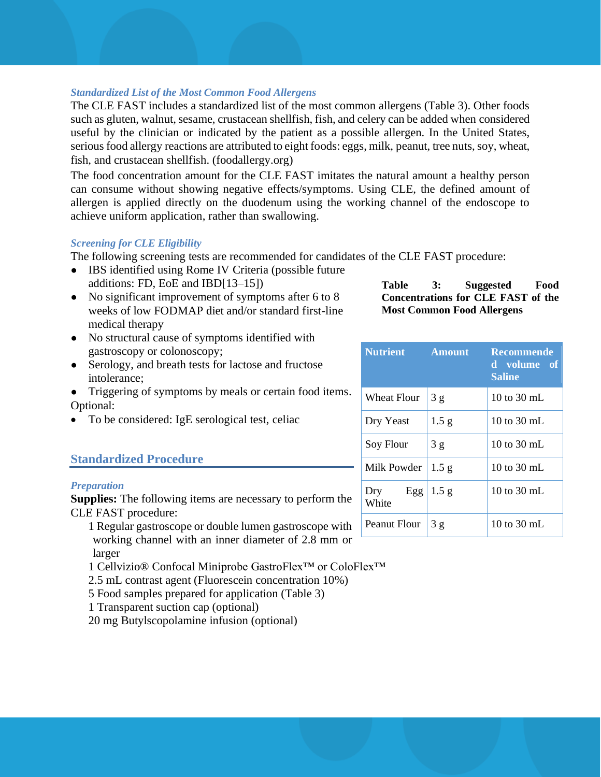#### *Standardized List of the Most Common Food Allergens*

The CLE FAST includes a standardized list of the most common allergens (Table 3). Other foods such as gluten, walnut, sesame, crustacean shellfish, fish, and celery can be added when considered useful by the clinician or indicated by the patient as a possible allergen. In the United States, serious food allergy reactions are attributed to eight foods: eggs, milk, peanut, tree nuts, soy, wheat, fish, and crustacean shellfish. (foodallergy.org)

The food concentration amount for the CLE FAST imitates the natural amount a healthy person can consume without showing negative effects/symptoms. Using CLE, the defined amount of allergen is applied directly on the duodenum using the working channel of the endoscope to achieve uniform application, rather than swallowing.

#### *Screening for CLE Eligibility*

The following screening tests are recommended for candidates of the CLE FAST procedure:

- IBS identified using Rome IV Criteria (possible future additions: FD, EoE and IBD[13–15])
- No significant improvement of symptoms after 6 to 8 weeks of low FODMAP diet and/or standard first-line medical therapy
- No structural cause of symptoms identified with gastroscopy or colonoscopy;
- Serology, and breath tests for lactose and fructose intolerance;
- Triggering of symptoms by meals or certain food items. Optional:
- To be considered: IgE serological test, celiac

## **Standardized Procedure**

### *Preparation*

**Supplies:** The following items are necessary to perform the CLE FAST procedure:

- 1 Regular gastroscope or double lumen gastroscope with working channel with an inner diameter of 2.8 mm or larger
- 1 Cellvizio® Confocal Miniprobe GastroFlex™ or ColoFlex™
- 2.5 mL contrast agent (Fluorescein concentration 10%)
- 5 Food samples prepared for application (Table 3)
- 1 Transparent suction cap (optional)
- 20 mg Butylscopolamine infusion (optional)

**Table 3: Suggested Food Concentrations for CLE FAST of the Most Common Food Allergens**

| <b>Nutrient</b>     | <b>Amount</b>    | <b>Recommende</b><br>d volume of<br><b>Saline</b> |
|---------------------|------------------|---------------------------------------------------|
| Wheat Flour         | 3g               | 10 to 30 mL                                       |
| Dry Yeast           | 1.5 g            | 10 to $30 \text{ mL}$                             |
| Soy Flour           | 3g               | 10 to 30 mL                                       |
| Milk Powder         | 1.5 g            | 10 to 30 mL                                       |
| Egg<br>Dry<br>White | 1.5 <sub>g</sub> | 10 to 30 mL                                       |
| Peanut Flour        | 3g               | 10 to 30 mL                                       |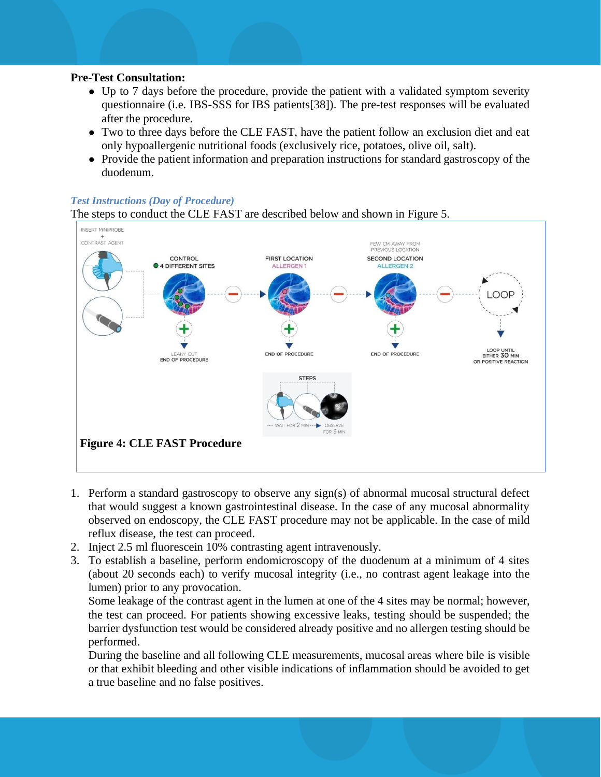#### **Pre-Test Consultation:**

- Up to 7 days before the procedure, provide the patient with a validated symptom severity questionnaire (i.e. IBS-SSS for IBS patients[38]). The pre-test responses will be evaluated after the procedure.
- Two to three days before the CLE FAST, have the patient follow an exclusion diet and eat only hypoallergenic nutritional foods (exclusively rice, potatoes, olive oil, salt).
- Provide the patient information and preparation instructions for standard gastroscopy of the duodenum.

#### *Test Instructions (Day of Procedure)*

The steps to conduct the CLE FAST are described below and shown in Figure 5.



- 1. Perform a standard gastroscopy to observe any sign(s) of abnormal mucosal structural defect that would suggest a known gastrointestinal disease. In the case of any mucosal abnormality observed on endoscopy, the CLE FAST procedure may not be applicable. In the case of mild reflux disease, the test can proceed.
- 2. Inject 2.5 ml fluorescein 10% contrasting agent intravenously.
- 3. To establish a baseline, perform endomicroscopy of the duodenum at a minimum of 4 sites (about 20 seconds each) to verify mucosal integrity (i.e., no contrast agent leakage into the lumen) prior to any provocation.

Some leakage of the contrast agent in the lumen at one of the 4 sites may be normal; however, the test can proceed. For patients showing excessive leaks, testing should be suspended; the barrier dysfunction test would be considered already positive and no allergen testing should be performed.

During the baseline and all following CLE measurements, mucosal areas where bile is visible or that exhibit bleeding and other visible indications of inflammation should be avoided to get a true baseline and no false positives.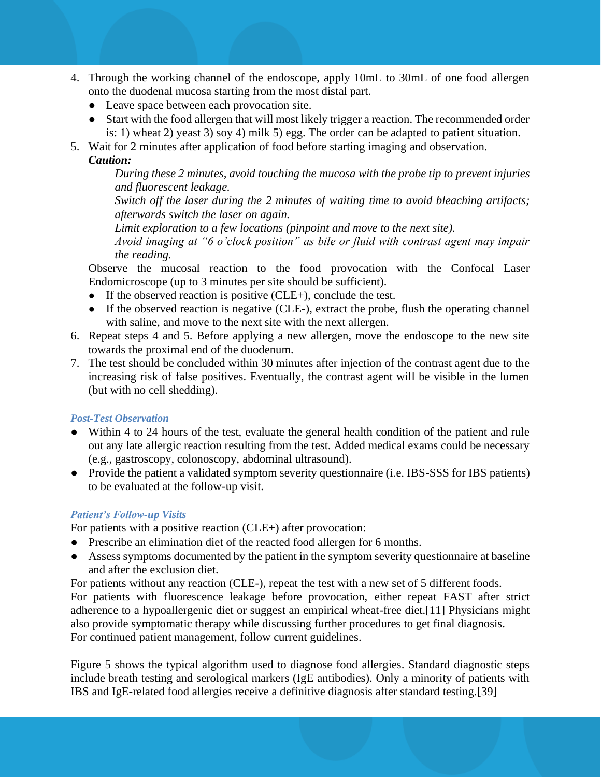- 4. Through the working channel of the endoscope, apply 10mL to 30mL of one food allergen onto the duodenal mucosa starting from the most distal part.
	- Leave space between each provocation site.
	- Start with the food allergen that will most likely trigger a reaction. The recommended order is: 1) wheat 2) yeast 3) soy 4) milk 5) egg. The order can be adapted to patient situation.
- 5. Wait for 2 minutes after application of food before starting imaging and observation.

#### *Caution:*

*During these 2 minutes, avoid touching the mucosa with the probe tip to prevent injuries and fluorescent leakage.*

*Switch off the laser during the 2 minutes of waiting time to avoid bleaching artifacts; afterwards switch the laser on again.*

*Limit exploration to a few locations (pinpoint and move to the next site).* 

*Avoid imaging at "6 o'clock position" as bile or fluid with contrast agent may impair the reading.* 

Observe the mucosal reaction to the food provocation with the Confocal Laser Endomicroscope (up to 3 minutes per site should be sufficient).

- $\bullet$  If the observed reaction is positive (CLE+), conclude the test.
- If the observed reaction is negative (CLE-), extract the probe, flush the operating channel with saline, and move to the next site with the next allergen.
- 6. Repeat steps 4 and 5. Before applying a new allergen, move the endoscope to the new site towards the proximal end of the duodenum.
- 7. The test should be concluded within 30 minutes after injection of the contrast agent due to the increasing risk of false positives. Eventually, the contrast agent will be visible in the lumen (but with no cell shedding).

### *Post-Test Observation*

- Within 4 to 24 hours of the test, evaluate the general health condition of the patient and rule out any late allergic reaction resulting from the test. Added medical exams could be necessary (e.g., gastroscopy, colonoscopy, abdominal ultrasound).
- Provide the patient a validated symptom severity questionnaire (i.e. IBS-SSS for IBS patients) to be evaluated at the follow-up visit.

## *Patient's Follow-up Visits*

For patients with a positive reaction (CLE+) after provocation:

- Prescribe an elimination diet of the reacted food allergen for 6 months.
- Assess symptoms documented by the patient in the symptom severity questionnaire at baseline and after the exclusion diet.

For patients without any reaction (CLE-), repeat the test with a new set of 5 different foods. For patients with fluorescence leakage before provocation, either repeat FAST after strict adherence to a hypoallergenic diet or suggest an empirical wheat-free diet.[11] Physicians might also provide symptomatic therapy while discussing further procedures to get final diagnosis. For continued patient management, follow current guidelines.

Figure 5 shows the typical algorithm used to diagnose food allergies. Standard diagnostic steps include breath testing and serological markers (IgE antibodies). Only a minority of patients with IBS and IgE-related food allergies receive a definitive diagnosis after standard testing.[39]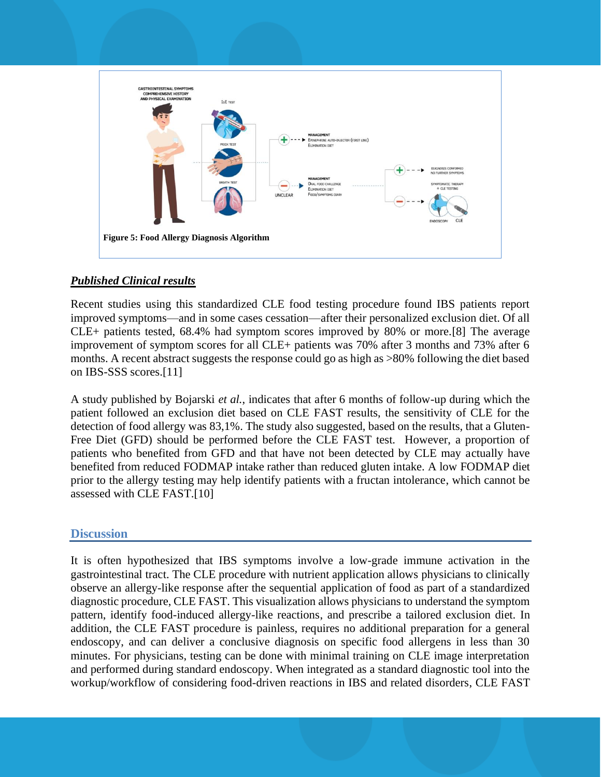

## *Published Clinical results*

Recent studies using this standardized CLE food testing procedure found IBS patients report improved symptoms—and in some cases cessation—after their personalized exclusion diet. Of all CLE+ patients tested, 68.4% had symptom scores improved by 80% or more.[8] The average improvement of symptom scores for all CLE+ patients was 70% after 3 months and 73% after 6 months. A recent abstract suggests the response could go as high as >80% following the diet based on IBS-SSS scores.[11]

A study published by Bojarski *et al.*, indicates that after 6 months of follow-up during which the patient followed an exclusion diet based on CLE FAST results, the sensitivity of CLE for the detection of food allergy was 83,1%. The study also suggested, based on the results, that a Gluten-Free Diet (GFD) should be performed before the CLE FAST test. However, a proportion of patients who benefited from GFD and that have not been detected by CLE may actually have benefited from reduced FODMAP intake rather than reduced gluten intake. A low FODMAP diet prior to the allergy testing may help identify patients with a fructan intolerance, which cannot be assessed with CLE FAST.[10]

## **Discussion**

It is often hypothesized that IBS symptoms involve a low-grade immune activation in the gastrointestinal tract. The CLE procedure with nutrient application allows physicians to clinically observe an allergy-like response after the sequential application of food as part of a standardized diagnostic procedure, CLE FAST. This visualization allows physicians to understand the symptom pattern, identify food-induced allergy-like reactions, and prescribe a tailored exclusion diet. In addition, the CLE FAST procedure is painless, requires no additional preparation for a general endoscopy, and can deliver a conclusive diagnosis on specific food allergens in less than 30 minutes. For physicians, testing can be done with minimal training on CLE image interpretation and performed during standard endoscopy. When integrated as a standard diagnostic tool into the workup/workflow of considering food-driven reactions in IBS and related disorders, CLE FAST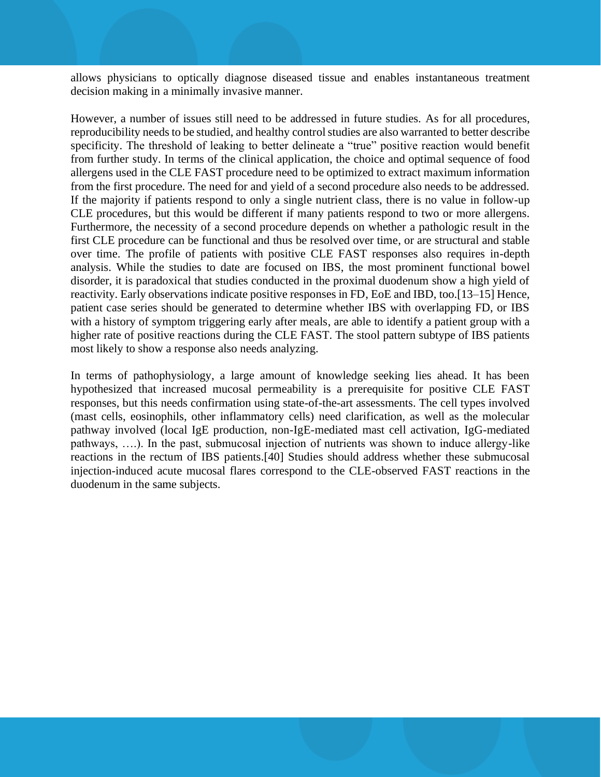allows physicians to optically diagnose diseased tissue and enables instantaneous treatment decision making in a minimally invasive manner.

However, a number of issues still need to be addressed in future studies. As for all procedures, reproducibility needs to be studied, and healthy control studies are also warranted to better describe specificity. The threshold of leaking to better delineate a "true" positive reaction would benefit from further study. In terms of the clinical application, the choice and optimal sequence of food allergens used in the CLE FAST procedure need to be optimized to extract maximum information from the first procedure. The need for and yield of a second procedure also needs to be addressed. If the majority if patients respond to only a single nutrient class, there is no value in follow-up CLE procedures, but this would be different if many patients respond to two or more allergens. Furthermore, the necessity of a second procedure depends on whether a pathologic result in the first CLE procedure can be functional and thus be resolved over time, or are structural and stable over time. The profile of patients with positive CLE FAST responses also requires in-depth analysis. While the studies to date are focused on IBS, the most prominent functional bowel disorder, it is paradoxical that studies conducted in the proximal duodenum show a high yield of reactivity. Early observations indicate positive responses in FD, EoE and IBD, too.[13–15] Hence, patient case series should be generated to determine whether IBS with overlapping FD, or IBS with a history of symptom triggering early after meals, are able to identify a patient group with a higher rate of positive reactions during the CLE FAST. The stool pattern subtype of IBS patients most likely to show a response also needs analyzing.

In terms of pathophysiology, a large amount of knowledge seeking lies ahead. It has been hypothesized that increased mucosal permeability is a prerequisite for positive CLE FAST responses, but this needs confirmation using state-of-the-art assessments. The cell types involved (mast cells, eosinophils, other inflammatory cells) need clarification, as well as the molecular pathway involved (local IgE production, non-IgE-mediated mast cell activation, IgG-mediated pathways, ….). In the past, submucosal injection of nutrients was shown to induce allergy-like reactions in the rectum of IBS patients.[40] Studies should address whether these submucosal injection-induced acute mucosal flares correspond to the CLE-observed FAST reactions in the duodenum in the same subjects.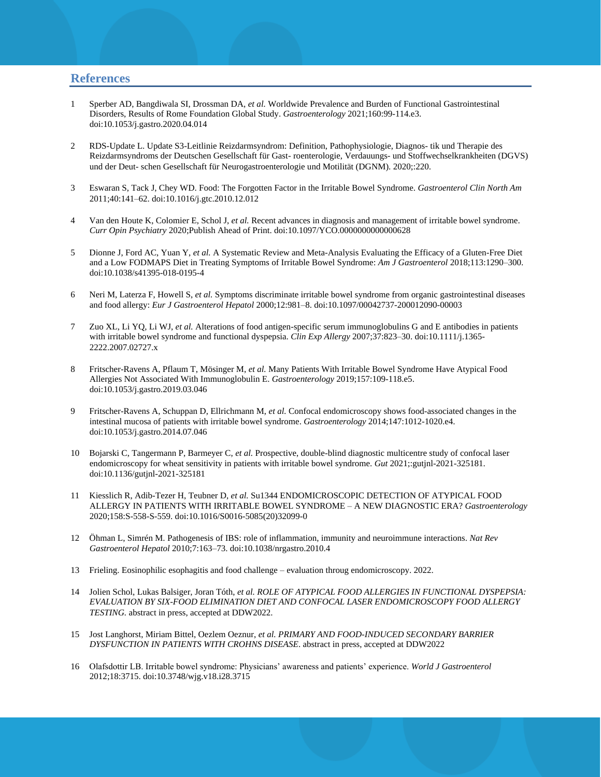#### **References**

- 1 Sperber AD, Bangdiwala SI, Drossman DA, *et al.* Worldwide Prevalence and Burden of Functional Gastrointestinal Disorders, Results of Rome Foundation Global Study. *Gastroenterology* 2021;160:99-114.e3. doi:10.1053/j.gastro.2020.04.014
- 2 RDS-Update L. Update S3-Leitlinie Reizdarmsyndrom: Definition, Pathophysiologie, Diagnos- tik und Therapie des Reizdarmsyndroms der Deutschen Gesellschaft für Gast- roenterologie, Verdauungs- und Stoffwechselkrankheiten (DGVS) und der Deut- schen Gesellschaft für Neurogastroenterologie und Motilität (DGNM). 2020;:220.
- 3 Eswaran S, Tack J, Chey WD. Food: The Forgotten Factor in the Irritable Bowel Syndrome. *Gastroenterol Clin North Am* 2011;40:141–62. doi:10.1016/j.gtc.2010.12.012
- 4 Van den Houte K, Colomier E, Schol J, *et al.* Recent advances in diagnosis and management of irritable bowel syndrome. *Curr Opin Psychiatry* 2020;Publish Ahead of Print. doi:10.1097/YCO.0000000000000628
- 5 Dionne J, Ford AC, Yuan Y, *et al.* A Systematic Review and Meta-Analysis Evaluating the Efficacy of a Gluten-Free Diet and a Low FODMAPS Diet in Treating Symptoms of Irritable Bowel Syndrome: *Am J Gastroenterol* 2018;113:1290–300. doi:10.1038/s41395-018-0195-4
- 6 Neri M, Laterza F, Howell S, *et al.* Symptoms discriminate irritable bowel syndrome from organic gastrointestinal diseases and food allergy: *Eur J Gastroenterol Hepatol* 2000;12:981–8. doi:10.1097/00042737-200012090-00003
- 7 Zuo XL, Li YQ, Li WJ, *et al.* Alterations of food antigen-specific serum immunoglobulins G and E antibodies in patients with irritable bowel syndrome and functional dyspepsia. *Clin Exp Allergy* 2007;37:823–30. doi:10.1111/j.1365- 2222.2007.02727.x
- 8 Fritscher-Ravens A, Pflaum T, Mösinger M, *et al.* Many Patients With Irritable Bowel Syndrome Have Atypical Food Allergies Not Associated With Immunoglobulin E. *Gastroenterology* 2019;157:109-118.e5. doi:10.1053/j.gastro.2019.03.046
- 9 Fritscher-Ravens A, Schuppan D, Ellrichmann M, *et al.* Confocal endomicroscopy shows food-associated changes in the intestinal mucosa of patients with irritable bowel syndrome. *Gastroenterology* 2014;147:1012-1020.e4. doi:10.1053/j.gastro.2014.07.046
- 10 Bojarski C, Tangermann P, Barmeyer C, *et al.* Prospective, double-blind diagnostic multicentre study of confocal laser endomicroscopy for wheat sensitivity in patients with irritable bowel syndrome. *Gut* 2021;:gutjnl-2021-325181. doi:10.1136/gutjnl-2021-325181
- 11 Kiesslich R, Adib-Tezer H, Teubner D, *et al.* Su1344 ENDOMICROSCOPIC DETECTION OF ATYPICAL FOOD ALLERGY IN PATIENTS WITH IRRITABLE BOWEL SYNDROME – A NEW DIAGNOSTIC ERA? *Gastroenterology* 2020;158:S-558-S-559. doi:10.1016/S0016-5085(20)32099-0
- 12 Öhman L, Simrén M. Pathogenesis of IBS: role of inflammation, immunity and neuroimmune interactions. *Nat Rev Gastroenterol Hepatol* 2010;7:163–73. doi:10.1038/nrgastro.2010.4
- 13 Frieling. Eosinophilic esophagitis and food challenge evaluation throug endomicroscopy. 2022.
- 14 Jolien Schol, Lukas Balsiger, Joran Tóth, *et al. ROLE OF ATYPICAL FOOD ALLERGIES IN FUNCTIONAL DYSPEPSIA: EVALUATION BY SIX-FOOD ELIMINATION DIET AND CONFOCAL LASER ENDOMICROSCOPY FOOD ALLERGY TESTING.* abstract in press, accepted at DDW2022.
- 15 Jost Langhorst, Miriam Bittel, Oezlem Oeznur, *et al. PRIMARY AND FOOD-INDUCED SECONDARY BARRIER DYSFUNCTION IN PATIENTS WITH CROHNS DISEASE*. abstract in press, accepted at DDW2022
- 16 Olafsdottir LB. Irritable bowel syndrome: Physicians' awareness and patients' experience. *World J Gastroenterol* 2012;18:3715. doi:10.3748/wjg.v18.i28.3715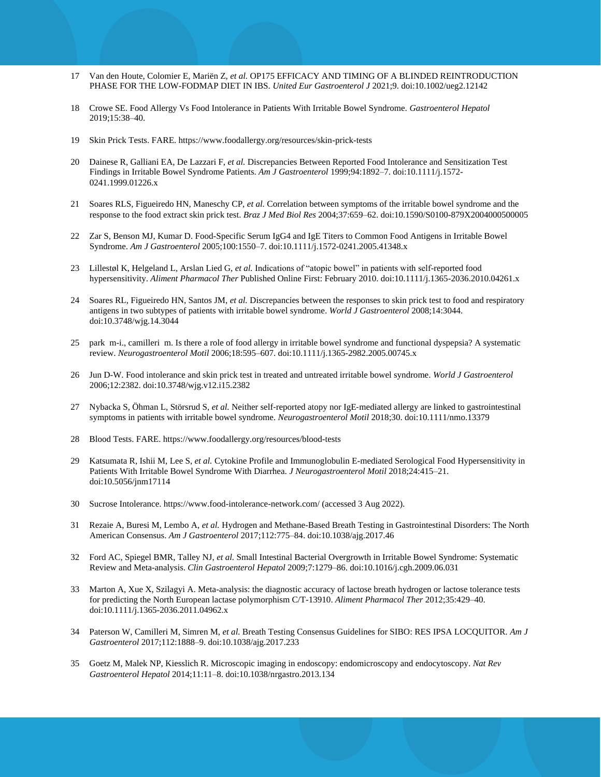- 17 Van den Houte, Colomier E, Mariën Z, *et al.* OP175 EFFICACY AND TIMING OF A BLINDED REINTRODUCTION PHASE FOR THE LOW-FODMAP DIET IN IBS. *United Eur Gastroenterol J* 2021;9. doi:10.1002/ueg2.12142
- 18 Crowe SE. Food Allergy Vs Food Intolerance in Patients With Irritable Bowel Syndrome. *Gastroenterol Hepatol* 2019;15:38–40.
- 19 Skin Prick Tests. FARE. https://www.foodallergy.org/resources/skin-prick-tests
- 20 Dainese R, Galliani EA, De Lazzari F, *et al.* Discrepancies Between Reported Food Intolerance and Sensitization Test Findings in Irritable Bowel Syndrome Patients. *Am J Gastroenterol* 1999;94:1892–7. doi:10.1111/j.1572- 0241.1999.01226.x
- 21 Soares RLS, Figueiredo HN, Maneschy CP, *et al.* Correlation between symptoms of the irritable bowel syndrome and the response to the food extract skin prick test. *Braz J Med Biol Res* 2004;37:659–62. doi:10.1590/S0100-879X2004000500005
- 22 Zar S, Benson MJ, Kumar D. Food-Specific Serum IgG4 and IgE Titers to Common Food Antigens in Irritable Bowel Syndrome. *Am J Gastroenterol* 2005;100:1550–7. doi:10.1111/j.1572-0241.2005.41348.x
- 23 Lillestøl K, Helgeland L, Arslan Lied G, *et al.* Indications of "atopic bowel" in patients with self-reported food hypersensitivity. *Aliment Pharmacol Ther* Published Online First: February 2010. doi:10.1111/j.1365-2036.2010.04261.x
- 24 Soares RL, Figueiredo HN, Santos JM, *et al.* Discrepancies between the responses to skin prick test to food and respiratory antigens in two subtypes of patients with irritable bowel syndrome. *World J Gastroenterol* 2008;14:3044. doi:10.3748/wjg.14.3044
- 25 park m-i., camilleri m. Is there a role of food allergy in irritable bowel syndrome and functional dyspepsia? A systematic review. *Neurogastroenterol Motil* 2006;18:595–607. doi:10.1111/j.1365-2982.2005.00745.x
- 26 Jun D-W. Food intolerance and skin prick test in treated and untreated irritable bowel syndrome. *World J Gastroenterol* 2006;12:2382. doi:10.3748/wjg.v12.i15.2382
- 27 Nybacka S, Öhman L, Störsrud S, *et al.* Neither self‐reported atopy nor IgE‐mediated allergy are linked to gastrointestinal symptoms in patients with irritable bowel syndrome. *Neurogastroenterol Motil* 2018;30. doi:10.1111/nmo.13379
- 28 Blood Tests. FARE. https://www.foodallergy.org/resources/blood-tests
- 29 Katsumata R, Ishii M, Lee S, *et al.* Cytokine Profile and Immunoglobulin E-mediated Serological Food Hypersensitivity in Patients With Irritable Bowel Syndrome With Diarrhea. *J Neurogastroenterol Motil* 2018;24:415–21. doi:10.5056/jnm17114
- 30 Sucrose Intolerance. https://www.food-intolerance-network.com/ (accessed 3 Aug 2022).
- 31 Rezaie A, Buresi M, Lembo A, *et al.* Hydrogen and Methane-Based Breath Testing in Gastrointestinal Disorders: The North American Consensus. *Am J Gastroenterol* 2017;112:775–84. doi:10.1038/ajg.2017.46
- 32 Ford AC, Spiegel BMR, Talley NJ, *et al.* Small Intestinal Bacterial Overgrowth in Irritable Bowel Syndrome: Systematic Review and Meta-analysis. *Clin Gastroenterol Hepatol* 2009;7:1279–86. doi:10.1016/j.cgh.2009.06.031
- 33 Marton A, Xue X, Szilagyi A. Meta-analysis: the diagnostic accuracy of lactose breath hydrogen or lactose tolerance tests for predicting the North European lactase polymorphism C/T-13910. *Aliment Pharmacol Ther* 2012;35:429–40. doi:10.1111/j.1365-2036.2011.04962.x
- 34 Paterson W, Camilleri M, Simren M, *et al.* Breath Testing Consensus Guidelines for SIBO: RES IPSA LOCQUITOR. *Am J Gastroenterol* 2017;112:1888–9. doi:10.1038/ajg.2017.233
- 35 Goetz M, Malek NP, Kiesslich R. Microscopic imaging in endoscopy: endomicroscopy and endocytoscopy. *Nat Rev Gastroenterol Hepatol* 2014;11:11–8. doi:10.1038/nrgastro.2013.134